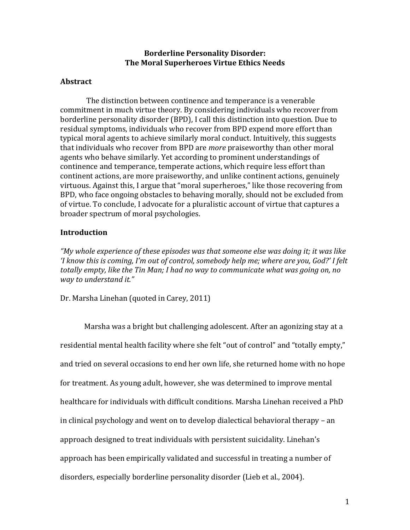# **Borderline Personality Disorder: The)Moral)Superheroes)Virtue Ethics)Needs)**

## **Abstract**

The distinction between continence and temperance is a venerable commitment in much virtue theory. By considering individuals who recover from borderline personality disorder (BPD), I call this distinction into question. Due to residual symptoms, individuals who recover from BPD expend more effort than typical moral agents to achieve similarly moral conduct. Intuitively, this suggests that individuals who recover from BPD are *more* praiseworthy than other moral agents who behave similarly. Yet according to prominent understandings of continence and temperance, temperate actions, which require less effort than continent actions, are more praiseworthy, and unlike continent actions, genuinely virtuous. Against this, I argue that "moral superheroes," like those recovering from BPD, who face ongoing obstacles to behaving morally, should not be excluded from of virtue. To conclude, I advocate for a pluralistic account of virtue that captures a broader spectrum of moral psychologies.

# **Introduction**

"My whole experience of these episodes was that someone else was doing it; it was like *'I know this is coming, I'm out of control, somebody help me; where are you, God?' I felt* totally empty, like the Tin Man; I had no way to communicate what was going on, no *way to understand it."* 

Dr. Marsha Linehan (quoted in Carey, 2011)

Marsha was a bright but challenging adolescent. After an agonizing stay at a residential mental health facility where she felt "out of control" and "totally empty," and tried on several occasions to end her own life, she returned home with no hope for treatment. As young adult, however, she was determined to improve mental healthcare for individuals with difficult conditions. Marsha Linehan received a PhD in clinical psychology and went on to develop dialectical behavioral therapy – an approach designed to treat individuals with persistent suicidality. Linehan's approach has been empirically validated and successful in treating a number of disorders, especially borderline personality disorder (Lieb et al., 2004).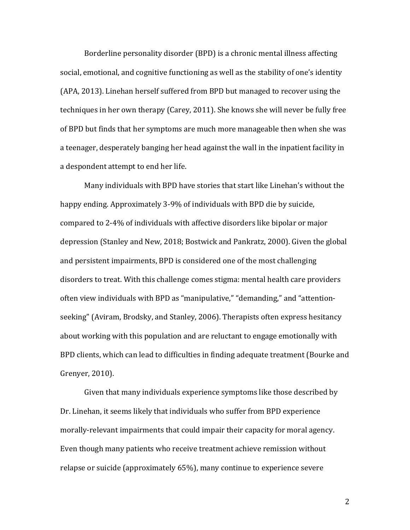Borderline personality disorder (BPD) is a chronic mental illness affecting social, emotional, and cognitive functioning as well as the stability of one's identity (APA, 2013). Linehan herself suffered from BPD but managed to recover using the techniques in her own therapy (Carey, 2011). She knows she will never be fully free of BPD but finds that her symptoms are much more manageable then when she was a teenager, desperately banging her head against the wall in the inpatient facility in a despondent attempt to end her life.

Many individuals with BPD have stories that start like Linehan's without the happy ending. Approximately 3-9% of individuals with BPD die by suicide, compared to 2-4% of individuals with affective disorders like bipolar or major depression (Stanley and New, 2018; Bostwick and Pankratz, 2000). Given the global and persistent impairments, BPD is considered one of the most challenging disorders to treat. With this challenge comes stigma: mental health care providers often view individuals with BPD as "manipulative," "demanding," and "attentionseeking" (Aviram, Brodsky, and Stanley, 2006). Therapists often express hesitancy about working with this population and are reluctant to engage emotionally with BPD clients, which can lead to difficulties in finding adequate treatment (Bourke and Grenyer, 2010).

Given that many individuals experience symptoms like those described by Dr. Linehan, it seems likely that individuals who suffer from BPD experience morally-relevant impairments that could impair their capacity for moral agency. Even though many patients who receive treatment achieve remission without relapse or suicide (approximately 65%), many continue to experience severe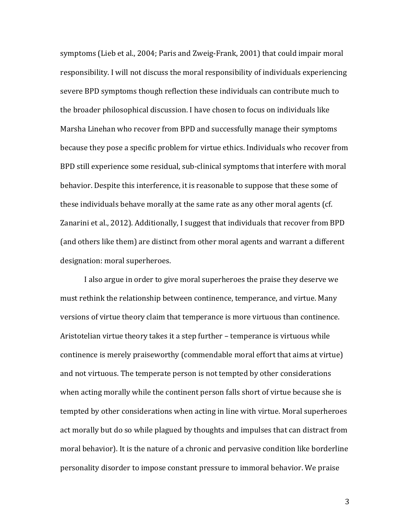symptoms (Lieb et al., 2004; Paris and Zweig-Frank, 2001) that could impair moral responsibility. I will not discuss the moral responsibility of individuals experiencing severe BPD symptoms though reflection these individuals can contribute much to the broader philosophical discussion. I have chosen to focus on individuals like Marsha Linehan who recover from BPD and successfully manage their symptoms because they pose a specific problem for virtue ethics. Individuals who recover from BPD still experience some residual, sub-clinical symptoms that interfere with moral behavior. Despite this interference, it is reasonable to suppose that these some of these individuals behave morally at the same rate as any other moral agents (cf. Zanarini et al., 2012). Additionally, I suggest that individuals that recover from BPD (and others like them) are distinct from other moral agents and warrant a different designation: moral superheroes.

I also argue in order to give moral superheroes the praise they deserve we must rethink the relationship between continence, temperance, and virtue. Many versions of virtue theory claim that temperance is more virtuous than continence. Aristotelian virtue theory takes it a step further – temperance is virtuous while continence is merely praiseworthy (commendable moral effort that aims at virtue) and not virtuous. The temperate person is not tempted by other considerations when acting morally while the continent person falls short of virtue because she is tempted by other considerations when acting in line with virtue. Moral superheroes act morally but do so while plagued by thoughts and impulses that can distract from moral behavior). It is the nature of a chronic and pervasive condition like borderline personality disorder to impose constant pressure to immoral behavior. We praise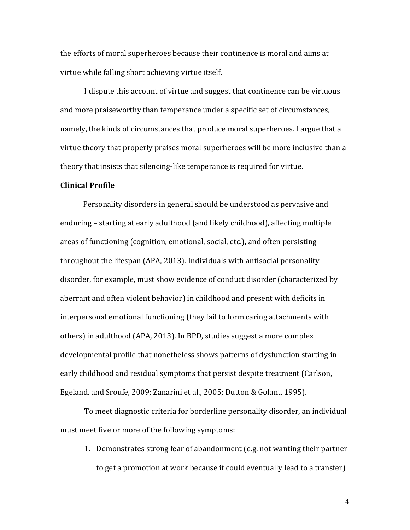the efforts of moral superheroes because their continence is moral and aims at virtue while falling short achieving virtue itself.

I dispute this account of virtue and suggest that continence can be virtuous and more praiseworthy than temperance under a specific set of circumstances, namely, the kinds of circumstances that produce moral superheroes. I argue that a virtue theory that properly praises moral superheroes will be more inclusive than a theory that insists that silencing-like temperance is required for virtue.

#### **Clinical)Profile**

Personality disorders in general should be understood as pervasive and enduring – starting at early adulthood (and likely childhood), affecting multiple areas of functioning (cognition, emotional, social, etc.), and often persisting throughout the lifespan (APA, 2013). Individuals with antisocial personality disorder, for example, must show evidence of conduct disorder (characterized by aberrant and often violent behavior) in childhood and present with deficits in interpersonal emotional functioning (they fail to form caring attachments with others) in adulthood (APA, 2013). In BPD, studies suggest a more complex developmental profile that nonetheless shows patterns of dysfunction starting in early childhood and residual symptoms that persist despite treatment (Carlson, Egeland, and Sroufe, 2009; Zanarini et al., 2005; Dutton & Golant, 1995).

To meet diagnostic criteria for borderline personality disorder, an individual must meet five or more of the following symptoms:

1. Demonstrates strong fear of abandonment (e.g. not wanting their partner to get a promotion at work because it could eventually lead to a transfer)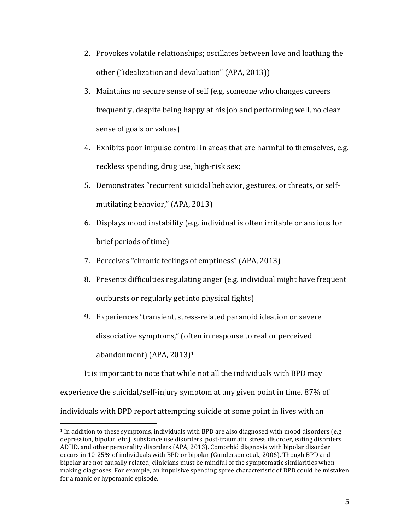- 2. Provokes volatile relationships; oscillates between love and loathing the other ("idealization and devaluation" (APA, 2013))
- 3. Maintains no secure sense of self (e.g. someone who changes careers frequently, despite being happy at his job and performing well, no clear sense of goals or values)
- 4. Exhibits poor impulse control in areas that are harmful to themselves, e.g. reckless spending, drug use, high-risk sex;
- 5. Demonstrates "recurrent suicidal behavior, gestures, or threats, or selfmutilating behavior," (APA, 2013)
- 6. Displays mood instability (e.g. individual is often irritable or anxious for brief periods of time)
- 7. Perceives "chronic feelings of emptiness" (APA, 2013)
- 8. Presents difficulties regulating anger (e.g. individual might have frequent outbursts or regularly get into physical fights)
- 9. Experiences "transient, stress-related paranoid ideation or severe dissociative symptoms," (often in response to real or perceived abandonment) (APA,  $2013$ )<sup>1</sup>

It is important to note that while not all the individuals with BPD may

experience the suicidal/self-injury symptom at any given point in time, 87% of

individuals with BPD report attempting suicide at some point in lives with an

 $1$  In addition to these symptoms, individuals with BPD are also diagnosed with mood disorders (e.g. depression, bipolar, etc.), substance use disorders, post-traumatic stress disorder, eating disorders, ADHD, and other personality disorders (APA, 2013). Comorbid diagnosis with bipolar disorder occurs in 10-25% of individuals with BPD or bipolar (Gunderson et al., 2006). Though BPD and bipolar are not causally related, clinicians must be mindful of the symptomatic similarities when making diagnoses. For example, an impulsive spending spree characteristic of BPD could be mistaken for a manic or hypomanic episode.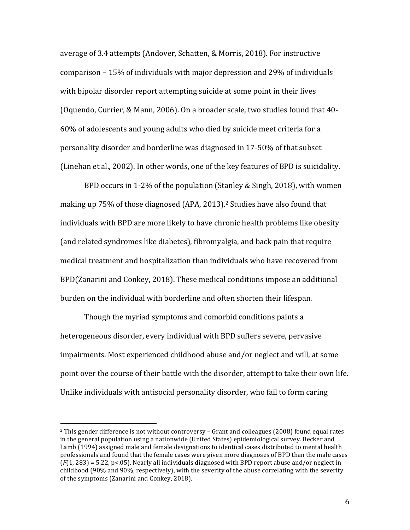average of 3.4 attempts (Andover, Schatten, & Morris, 2018). For instructive comparison  $-15%$  of individuals with major depression and 29% of individuals with bipolar disorder report attempting suicide at some point in their lives (Oquendo, Currier, & Mann, 2006). On a broader scale, two studies found that 40-60% of adolescents and young adults who died by suicide meet criteria for a personality disorder and borderline was diagnosed in 17-50% of that subset (Linehan et al., 2002). In other words, one of the key features of BPD is suicidality.

BPD occurs in 1-2% of the population (Stanley & Singh, 2018), with women making up 75% of those diagnosed (APA, 2013).<sup>2</sup> Studies have also found that individuals with BPD are more likely to have chronic health problems like obesity (and related syndromes like diabetes), fibromyalgia, and back pain that require medical treatment and hospitalization than individuals who have recovered from BPD(Zanarini and Conkey, 2018). These medical conditions impose an additional burden on the individual with borderline and often shorten their lifespan.

Though the myriad symptoms and comorbid conditions paints a heterogeneous disorder, every individual with BPD suffers severe, pervasive impairments. Most experienced childhood abuse and/or neglect and will, at some point over the course of their battle with the disorder, attempt to take their own life. Unlike individuals with antisocial personality disorder, who fail to form caring

 $2$  This gender difference is not without controversy – Grant and colleagues (2008) found equal rates in the general population using a nationwide (United States) epidemiological survey. Becker and Lamb (1994) assigned male and female designations to identical cases distributed to mental health professionals and found that the female cases were given more diagnoses of BPD than the male cases  $(F(1, 283) = 5.22$ , p<.05). Nearly all individuals diagnosed with BPD report abuse and/or neglect in childhood (90% and 90%, respectively), with the severity of the abuse correlating with the severity of the symptoms (Zanarini and Conkey, 2018).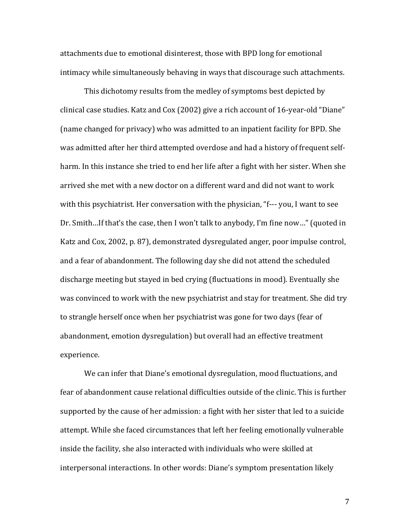attachments due to emotional disinterest, those with BPD long for emotional intimacy while simultaneously behaving in ways that discourage such attachments.

This dichotomy results from the medley of symptoms best depicted by clinical case studies. Katz and Cox (2002) give a rich account of 16-year-old "Diane" (name changed for privacy) who was admitted to an inpatient facility for BPD. She was admitted after her third attempted overdose and had a history of frequent selfharm. In this instance she tried to end her life after a fight with her sister. When she arrived she met with a new doctor on a different ward and did not want to work with this psychiatrist. Her conversation with the physician, "f--- you, I want to see Dr. Smith...If that's the case, then I won't talk to anybody, I'm fine now..." (quoted in Katz and Cox, 2002, p. 87), demonstrated dysregulated anger, poor impulse control, and a fear of abandonment. The following day she did not attend the scheduled discharge meeting but stayed in bed crying (fluctuations in mood). Eventually she was convinced to work with the new psychiatrist and stay for treatment. She did try to strangle herself once when her psychiatrist was gone for two days (fear of abandonment, emotion dysregulation) but overall had an effective treatment experience.

We can infer that Diane's emotional dysregulation, mood fluctuations, and fear of abandonment cause relational difficulties outside of the clinic. This is further supported by the cause of her admission: a fight with her sister that led to a suicide attempt. While she faced circumstances that left her feeling emotionally vulnerable inside the facility, she also interacted with individuals who were skilled at interpersonal interactions. In other words: Diane's symptom presentation likely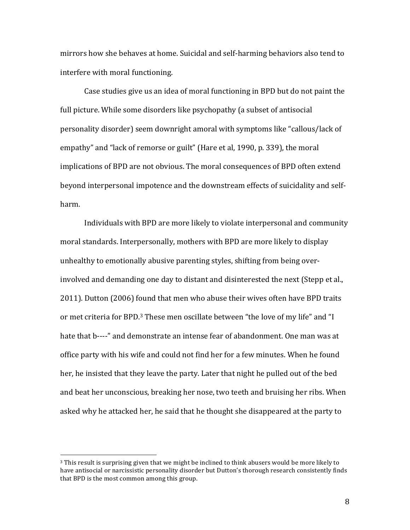mirrors how she behaves at home. Suicidal and self-harming behaviors also tend to interfere with moral functioning.

Case studies give us an idea of moral functioning in BPD but do not paint the full picture. While some disorders like psychopathy (a subset of antisocial personality disorder) seem downright amoral with symptoms like "callous/lack of empathy" and "lack of remorse or guilt" (Hare et al, 1990, p. 339), the moral implications of BPD are not obvious. The moral consequences of BPD often extend beyond interpersonal impotence and the downstream effects of suicidality and selfharm.

Individuals with BPD are more likely to violate interpersonal and community moral standards. Interpersonally, mothers with BPD are more likely to display unhealthy to emotionally abusive parenting styles, shifting from being overinvolved and demanding one day to distant and disinterested the next (Stepp et al., 2011). Dutton (2006) found that men who abuse their wives often have BPD traits or met criteria for BPD.<sup>3</sup> These men oscillate between "the love of my life" and "I hate that b----" and demonstrate an intense fear of abandonment. One man was at office party with his wife and could not find her for a few minutes. When he found her, he insisted that they leave the party. Later that night he pulled out of the bed and beat her unconscious, breaking her nose, two teeth and bruising her ribs. When asked why he attacked her, he said that he thought she disappeared at the party to

<sup>&</sup>lt;sup>3</sup> This result is surprising given that we might be inclined to think abusers would be more likely to have antisocial or narcissistic personality disorder but Dutton's thorough research consistently finds that BPD is the most common among this group.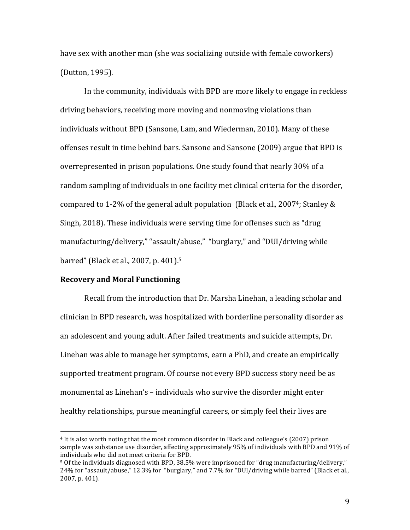have sex with another man (she was socializing outside with female coworkers) (Dutton, 1995).

In the community, individuals with BPD are more likely to engage in reckless driving behaviors, receiving more moving and nonmoving violations than individuals without BPD (Sansone, Lam, and Wiederman, 2010). Many of these offenses result in time behind bars. Sansone and Sansone (2009) argue that BPD is overrepresented in prison populations. One study found that nearly 30% of a random sampling of individuals in one facility met clinical criteria for the disorder, compared to 1-2% of the general adult population (Black et al., 2007<sup>4</sup>; Stanley & Singh, 2018). These individuals were serving time for offenses such as "drug" manufacturing/delivery," "assault/abuse," "burglary," and "DUI/driving while barred" (Black et al., 2007, p. 401).<sup>5</sup>

# **Recovery and Moral Functioning**

!!!!!!!!!!!!!!!!!!!!!!!!!!!!!!!!!!!!!!!!!!!!!!!!!!!!!!!

Recall from the introduction that Dr. Marsha Linehan, a leading scholar and clinician in BPD research, was hospitalized with borderline personality disorder as an adolescent and young adult. After failed treatments and suicide attempts, Dr. Linehan was able to manage her symptoms, earn a PhD, and create an empirically supported treatment program. Of course not every BPD success story need be as monumental as Linehan's – individuals who survive the disorder might enter healthy relationships, pursue meaningful careers, or simply feel their lives are

<sup>&</sup>lt;sup>4</sup> It is also worth noting that the most common disorder in Black and colleague's (2007) prison sample was substance use disorder, affecting approximately 95% of individuals with BPD and 91% of individuals who did not meet criteria for BPD.

 $5$  Of the individuals diagnosed with BPD, 38.5% were imprisoned for "drug manufacturing/delivery," 24% for "assault/abuse," 12.3% for "burglary," and 7.7% for "DUI/driving while barred" (Black et al., 2007, p. 401).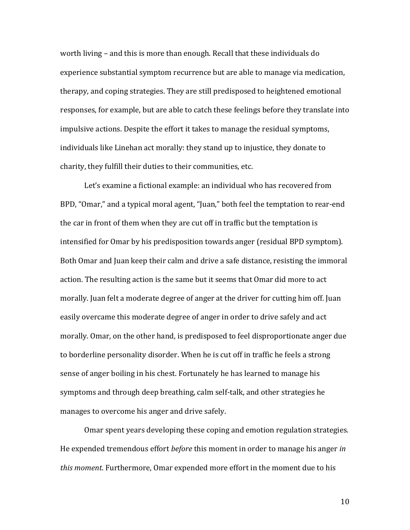worth living – and this is more than enough. Recall that these individuals do experience substantial symptom recurrence but are able to manage via medication, therapy, and coping strategies. They are still predisposed to heightened emotional responses, for example, but are able to catch these feelings before they translate into impulsive actions. Despite the effort it takes to manage the residual symptoms, individuals like Linehan act morally: they stand up to injustice, they donate to charity, they fulfill their duties to their communities, etc.

Let's examine a fictional example: an individual who has recovered from BPD, "Omar," and a typical moral agent, "Juan," both feel the temptation to rear-end the car in front of them when they are cut off in traffic but the temptation is intensified for Omar by his predisposition towards anger (residual BPD symptom). Both Omar and Juan keep their calm and drive a safe distance, resisting the immoral action. The resulting action is the same but it seems that Omar did more to act morally. Juan felt a moderate degree of anger at the driver for cutting him off. Juan easily overcame this moderate degree of anger in order to drive safely and act morally. Omar, on the other hand, is predisposed to feel disproportionate anger due to borderline personality disorder. When he is cut off in traffic he feels a strong sense of anger boiling in his chest. Fortunately he has learned to manage his symptoms and through deep breathing, calm self-talk, and other strategies he manages to overcome his anger and drive safely.

Omar spent years developing these coping and emotion regulation strategies. He expended tremendous effort *before* this moment in order to manage his anger *in this moment*. Furthermore, Omar expended more effort in the moment due to his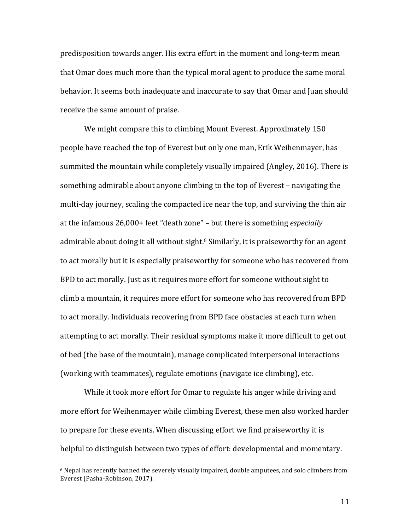predisposition towards anger. His extra effort in the moment and long-term mean that Omar does much more than the typical moral agent to produce the same moral behavior. It seems both inadequate and inaccurate to say that Omar and Juan should receive the same amount of praise.

We might compare this to climbing Mount Everest. Approximately 150 people have reached the top of Everest but only one man, Erik Weihenmayer, has summited the mountain while completely visually impaired (Angley, 2016). There is something admirable about anyone climbing to the top of Everest – navigating the multi-day journey, scaling the compacted ice near the top, and surviving the thin air at the infamous 26,000+ feet "death zone" – but there is something *especially* admirable about doing it all without sight.<sup>6</sup> Similarly, it is praiseworthy for an agent to act morally but it is especially praiseworthy for someone who has recovered from BPD to act morally. Just as it requires more effort for someone without sight to climb a mountain, it requires more effort for someone who has recovered from BPD to act morally. Individuals recovering from BPD face obstacles at each turn when attempting to act morally. Their residual symptoms make it more difficult to get out of bed (the base of the mountain), manage complicated interpersonal interactions (working with teammates), regulate emotions (navigate ice climbing), etc.

While it took more effort for Omar to regulate his anger while driving and more effort for Weihenmayer while climbing Everest, these men also worked harder to prepare for these events. When discussing effort we find praiseworthy it is helpful to distinguish between two types of effort: developmental and momentary.

!!!!!!!!!!!!!!!!!!!!!!!!!!!!!!!!!!!!!!!!!!!!!!!!!!!!!!!

 $6$  Nepal has recently banned the severely visually impaired, double amputees, and solo climbers from Everest (Pasha-Robinson, 2017).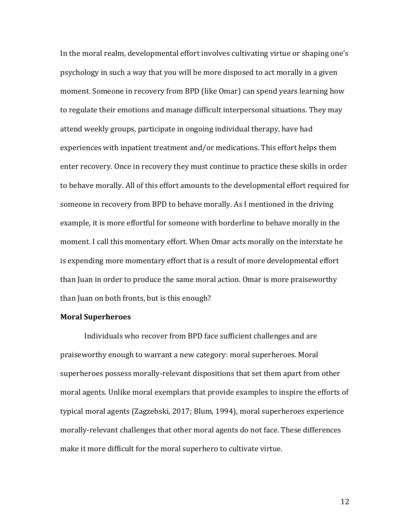In the moral realm, developmental effort involves cultivating virtue or shaping one's psychology in such a way that you will be more disposed to act morally in a given moment. Someone in recovery from BPD (like Omar) can spend years learning how to regulate their emotions and manage difficult interpersonal situations. They may attend weekly groups, participate in ongoing individual therapy, have had experiences with inpatient treatment and/or medications. This effort helps them enter recovery. Once in recovery they must continue to practice these skills in order to behave morally. All of this effort amounts to the developmental effort required for someone in recovery from BPD to behave morally. As I mentioned in the driving example, it is more effortful for someone with borderline to behave morally in the moment. I call this momentary effort. When Omar acts morally on the interstate he is expending more momentary effort that is a result of more developmental effort than Juan in order to produce the same moral action. Omar is more praiseworthy than Juan on both fronts, but is this enough?

### **Moral Superheroes**

Individuals who recover from BPD face sufficient challenges and are praiseworthy enough to warrant a new category: moral superheroes. Moral superheroes possess morally-relevant dispositions that set them apart from other moral agents. Unlike moral exemplars that provide examples to inspire the efforts of typical moral agents (Zagzebski, 2017; Blum, 1994), moral superheroes experience morally-relevant challenges that other moral agents do not face. These differences make it more difficult for the moral superhero to cultivate virtue.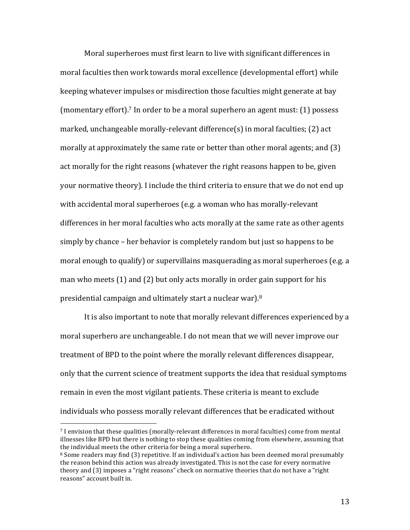Moral superheroes must first learn to live with significant differences in moral faculties then work towards moral excellence (developmental effort) while keeping whatever impulses or misdirection those faculties might generate at bay (momentary effort).<sup>7</sup> In order to be a moral superhero an agent must: (1) possess marked, unchangeable morally-relevant difference(s) in moral faculties; (2) act morally at approximately the same rate or better than other moral agents; and  $(3)$ act morally for the right reasons (whatever the right reasons happen to be, given your normative theory). I include the third criteria to ensure that we do not end up with accidental moral superheroes (e.g. a woman who has morally-relevant differences in her moral faculties who acts morally at the same rate as other agents simply by chance – her behavior is completely random but just so happens to be moral enough to qualify) or supervillains masquerading as moral superheroes (e.g. a man who meets  $(1)$  and  $(2)$  but only acts morally in order gain support for his presidential campaign and ultimately start a nuclear war). $8$ 

It is also important to note that morally relevant differences experienced by a moral superhero are unchangeable. I do not mean that we will never improve our treatment of BPD to the point where the morally relevant differences disappear, only that the current science of treatment supports the idea that residual symptoms remain in even the most vigilant patients. These criteria is meant to exclude individuals who possess morally relevant differences that be eradicated without

 $7$  I envision that these qualities (morally-relevant differences in moral faculties) come from mental illnesses like BPD but there is nothing to stop these qualities coming from elsewhere, assuming that the individual meets the other criteria for being a moral superhero.

 $8$  Some readers may find (3) repetitive. If an individual's action has been deemed moral presumably the reason behind this action was already investigated. This is not the case for every normative theory and (3) imposes a "right reasons" check on normative theories that do not have a "right" reasons" account built in.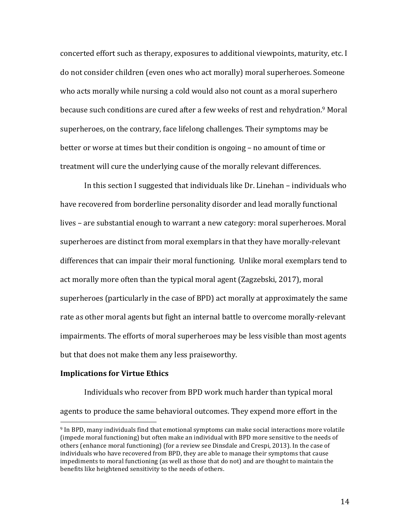concerted effort such as therapy, exposures to additional viewpoints, maturity, etc. I do not consider children (even ones who act morally) moral superheroes. Someone who acts morally while nursing a cold would also not count as a moral superhero because such conditions are cured after a few weeks of rest and rehydration.<sup>9</sup> Moral superheroes, on the contrary, face lifelong challenges. Their symptoms may be better or worse at times but their condition is ongoing – no amount of time or treatment will cure the underlying cause of the morally relevant differences.

In this section I suggested that individuals like Dr. Linehan – individuals who have recovered from borderline personality disorder and lead morally functional lives – are substantial enough to warrant a new category: moral superheroes. Moral superheroes are distinct from moral exemplars in that they have morally-relevant differences that can impair their moral functioning. Unlike moral exemplars tend to act morally more often than the typical moral agent (Zagzebski, 2017), moral superheroes (particularly in the case of BPD) act morally at approximately the same rate as other moral agents but fight an internal battle to overcome morally-relevant impairments. The efforts of moral superheroes may be less visible than most agents but that does not make them any less praiseworthy.

## **Implications for Virtue Ethics**

!!!!!!!!!!!!!!!!!!!!!!!!!!!!!!!!!!!!!!!!!!!!!!!!!!!!!!!

Individuals who recover from BPD work much harder than typical moral agents to produce the same behavioral outcomes. They expend more effort in the

<sup>&</sup>lt;sup>9</sup> In BPD, many individuals find that emotional symptoms can make social interactions more volatile (impede moral functioning) but often make an individual with BPD more sensitive to the needs of others (enhance moral functioning) (for a review see Dinsdale and Crespi, 2013). In the case of individuals who have recovered from BPD, they are able to manage their symptoms that cause impediments to moral functioning (as well as those that do not) and are thought to maintain the benefits like heightened sensitivity to the needs of others.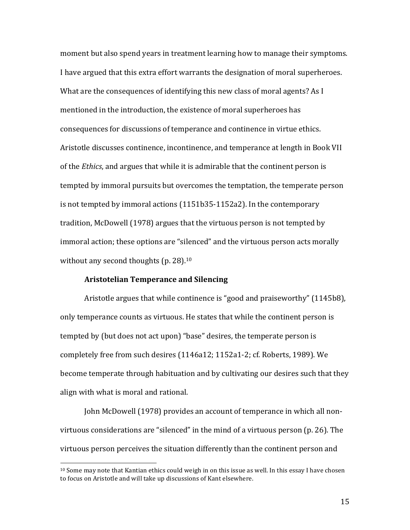moment but also spend years in treatment learning how to manage their symptoms. I have argued that this extra effort warrants the designation of moral superheroes. What are the consequences of identifying this new class of moral agents? As I mentioned in the introduction, the existence of moral superheroes has consequences for discussions of temperance and continence in virtue ethics. Aristotle discusses continence, incontinence, and temperance at length in Book VII of the *Ethics*, and argues that while it is admirable that the continent person is tempted by immoral pursuits but overcomes the temptation, the temperate person is not tempted by immoral actions (1151b35-1152a2). In the contemporary tradition, McDowell (1978) argues that the virtuous person is not tempted by immoral action; these options are "silenced" and the virtuous person acts morally without any second thoughts (p.  $28$ ).<sup>10</sup>

#### **Aristotelian)Temperance)and)Silencing**

!!!!!!!!!!!!!!!!!!!!!!!!!!!!!!!!!!!!!!!!!!!!!!!!!!!!!!!

Aristotle argues that while continence is "good and praiseworthy" (1145b8), only temperance counts as virtuous. He states that while the continent person is tempted by (but does not act upon) "base" desires, the temperate person is completely free from such desires (1146a12; 1152a1-2; cf. Roberts, 1989). We become temperate through habituation and by cultivating our desires such that they align with what is moral and rational.

John McDowell (1978) provides an account of temperance in which all nonvirtuous considerations are "silenced" in the mind of a virtuous person (p. 26). The virtuous person perceives the situation differently than the continent person and

 $10$  Some may note that Kantian ethics could weigh in on this issue as well. In this essay I have chosen to focus on Aristotle and will take up discussions of Kant elsewhere.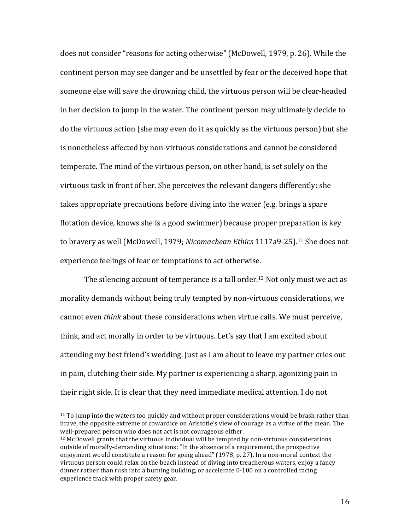does not consider "reasons for acting otherwise" (McDowell, 1979, p. 26). While the continent person may see danger and be unsettled by fear or the deceived hope that someone else will save the drowning child, the virtuous person will be clear-headed in her decision to jump in the water. The continent person may ultimately decide to do the virtuous action (she may even do it as quickly as the virtuous person) but she is nonetheless affected by non-virtuous considerations and cannot be considered temperate. The mind of the virtuous person, on other hand, is set solely on the virtuous task in front of her. She perceives the relevant dangers differently: she takes appropriate precautions before diving into the water (e.g. brings a spare flotation device, knows she is a good swimmer) because proper preparation is key to bravery as well (McDowell, 1979; *Nicomachean Ethics* 1117a9-25).<sup>11</sup> She does not experience feelings of fear or temptations to act otherwise.

The silencing account of temperance is a tall order.<sup>12</sup> Not only must we act as morality demands without being truly tempted by non-virtuous considerations, we cannot even *think* about these considerations when virtue calls. We must perceive, think, and act morally in order to be virtuous. Let's say that I am excited about attending my best friend's wedding. Just as I am about to leave my partner cries out in pain, clutching their side. My partner is experiencing a sharp, agonizing pain in their right side. It is clear that they need immediate medical attention. I do not

 $11$  To jump into the waters too quickly and without proper considerations would be brash rather than brave, the opposite extreme of cowardice on Aristotle's view of courage as a virtue of the mean. The well-prepared person who does not act is not courageous either.

 $12$  McDowell grants that the virtuous individual will be tempted by non-virtuous considerations outside of morally-demanding situations: "In the absence of a requirement, the prospective enjoyment would constitute a reason for going ahead" (1978, p. 27). In a non-moral context the virtuous person could relax on the beach instead of diving into treacherous waters, enjoy a fancy dinner rather than rush into a burning building, or accelerate 0-100 on a controlled racing experience track with proper safety gear.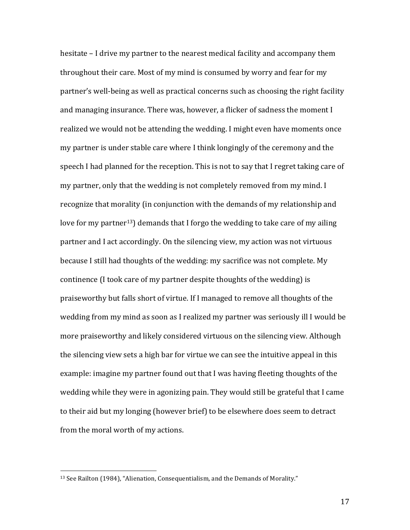hesitate – I drive my partner to the nearest medical facility and accompany them throughout their care. Most of my mind is consumed by worry and fear for my partner's well-being as well as practical concerns such as choosing the right facility and managing insurance. There was, however, a flicker of sadness the moment I realized we would not be attending the wedding. I might even have moments once my partner is under stable care where I think longingly of the ceremony and the speech I had planned for the reception. This is not to say that I regret taking care of my partner, only that the wedding is not completely removed from my mind. I recognize that morality (in conjunction with the demands of my relationship and love for my partner<sup>13</sup>) demands that I forgo the wedding to take care of my ailing partner and I act accordingly. On the silencing view, my action was not virtuous because I still had thoughts of the wedding: my sacrifice was not complete. My continence (I took care of my partner despite thoughts of the wedding) is praiseworthy but falls short of virtue. If I managed to remove all thoughts of the wedding from my mind as soon as I realized my partner was seriously ill I would be more praiseworthy and likely considered virtuous on the silencing view. Although the silencing view sets a high bar for virtue we can see the intuitive appeal in this example: imagine my partner found out that I was having fleeting thoughts of the wedding while they were in agonizing pain. They would still be grateful that I came to their aid but my longing (however brief) to be elsewhere does seem to detract from the moral worth of my actions.

<sup>&</sup>lt;sup>13</sup> See Railton (1984), "Alienation, Consequentialism, and the Demands of Morality."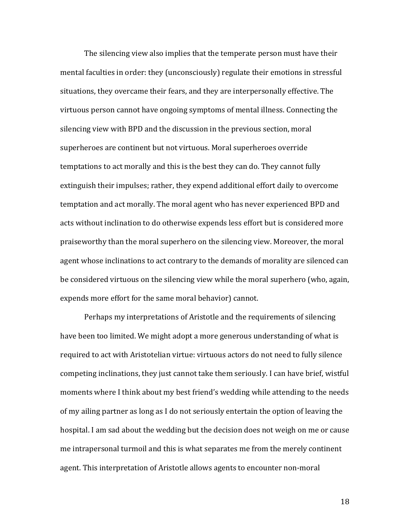The silencing view also implies that the temperate person must have their mental faculties in order: they (unconsciously) regulate their emotions in stressful situations, they overcame their fears, and they are interpersonally effective. The virtuous person cannot have ongoing symptoms of mental illness. Connecting the silencing view with BPD and the discussion in the previous section, moral superheroes are continent but not virtuous. Moral superheroes override temptations to act morally and this is the best they can do. They cannot fully extinguish their impulses; rather, they expend additional effort daily to overcome temptation and act morally. The moral agent who has never experienced BPD and acts without inclination to do otherwise expends less effort but is considered more praiseworthy than the moral superhero on the silencing view. Moreover, the moral agent whose inclinations to act contrary to the demands of morality are silenced can be considered virtuous on the silencing view while the moral superhero (who, again, expends more effort for the same moral behavior) cannot.

Perhaps my interpretations of Aristotle and the requirements of silencing have been too limited. We might adopt a more generous understanding of what is required to act with Aristotelian virtue: virtuous actors do not need to fully silence competing inclinations, they just cannot take them seriously. I can have brief, wistful moments where I think about my best friend's wedding while attending to the needs of my ailing partner as long as I do not seriously entertain the option of leaving the hospital. I am sad about the wedding but the decision does not weigh on me or cause me intrapersonal turmoil and this is what separates me from the merely continent agent. This interpretation of Aristotle allows agents to encounter non-moral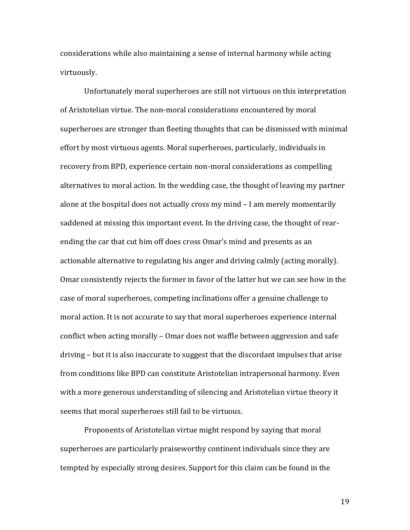considerations while also maintaining a sense of internal harmony while acting virtuously.

Unfortunately moral superheroes are still not virtuous on this interpretation of Aristotelian virtue. The non-moral considerations encountered by moral superheroes are stronger than fleeting thoughts that can be dismissed with minimal effort by most virtuous agents. Moral superheroes, particularly, individuals in recovery from BPD, experience certain non-moral considerations as compelling alternatives to moral action. In the wedding case, the thought of leaving my partner alone at the hospital does not actually cross my mind – I am merely momentarily saddened at missing this important event. In the driving case, the thought of rearending the car that cut him off does cross Omar's mind and presents as an actionable alternative to regulating his anger and driving calmly (acting morally). Omar consistently rejects the former in favor of the latter but we can see how in the case of moral superheroes, competing inclinations offer a genuine challenge to moral action. It is not accurate to say that moral superheroes experience internal conflict when acting morally – Omar does not waffle between aggression and safe driving – but it is also inaccurate to suggest that the discordant impulses that arise from conditions like BPD can constitute Aristotelian intrapersonal harmony. Even with a more generous understanding of silencing and Aristotelian virtue theory it seems that moral superheroes still fail to be virtuous.

Proponents of Aristotelian virtue might respond by saying that moral superheroes are particularly praiseworthy continent individuals since they are tempted by especially strong desires. Support for this claim can be found in the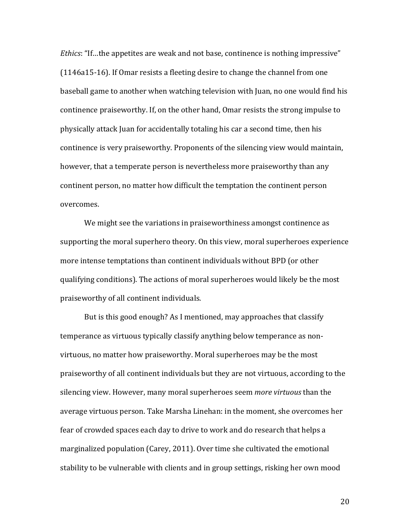*Ethics*: "If...the appetites are weak and not base, continence is nothing impressive"  $(1146a15-16)$ . If Omar resists a fleeting desire to change the channel from one baseball game to another when watching television with Juan, no one would find his continence praiseworthy. If, on the other hand, Omar resists the strong impulse to physically attack Juan for accidentally totaling his car a second time, then his continence is very praiseworthy. Proponents of the silencing view would maintain, however, that a temperate person is nevertheless more praiseworthy than any continent person, no matter how difficult the temptation the continent person overcomes.

We might see the variations in praiseworthiness amongst continence as supporting the moral superhero theory. On this view, moral superheroes experience more intense temptations than continent individuals without BPD (or other qualifying conditions). The actions of moral superheroes would likely be the most praiseworthy of all continent individuals.

But is this good enough? As I mentioned, may approaches that classify temperance as virtuous typically classify anything below temperance as nonvirtuous, no matter how praiseworthy. Moral superheroes may be the most praiseworthy of all continent individuals but they are not virtuous, according to the silencing view. However, many moral superheroes seem *more virtuous* than the average virtuous person. Take Marsha Linehan: in the moment, she overcomes her fear of crowded spaces each day to drive to work and do research that helps a marginalized population (Carey, 2011). Over time she cultivated the emotional stability to be vulnerable with clients and in group settings, risking her own mood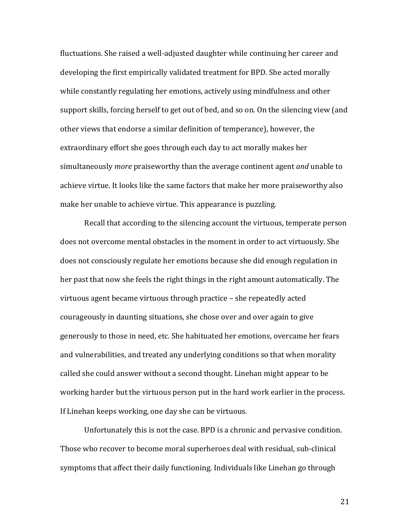fluctuations. She raised a well-adjusted daughter while continuing her career and developing the first empirically validated treatment for BPD. She acted morally while constantly regulating her emotions, actively using mindfulness and other support skills, forcing herself to get out of bed, and so on. On the silencing view (and other views that endorse a similar definition of temperance), however, the extraordinary effort she goes through each day to act morally makes her simultaneously *more* praiseworthy than the average continent agent *and* unable to achieve virtue. It looks like the same factors that make her more praiseworthy also make her unable to achieve virtue. This appearance is puzzling.

Recall that according to the silencing account the virtuous, temperate person does not overcome mental obstacles in the moment in order to act virtuously. She does not consciously regulate her emotions because she did enough regulation in her past that now she feels the right things in the right amount automatically. The virtuous agent became virtuous through practice – she repeatedly acted courageously in daunting situations, she chose over and over again to give generously to those in need, etc. She habituated her emotions, overcame her fears and vulnerabilities, and treated any underlying conditions so that when morality called she could answer without a second thought. Linehan might appear to be working harder but the virtuous person put in the hard work earlier in the process. If Linehan keeps working, one day she can be virtuous.

Unfortunately this is not the case. BPD is a chronic and pervasive condition. Those who recover to become moral superheroes deal with residual, sub-clinical symptoms that affect their daily functioning. Individuals like Linehan go through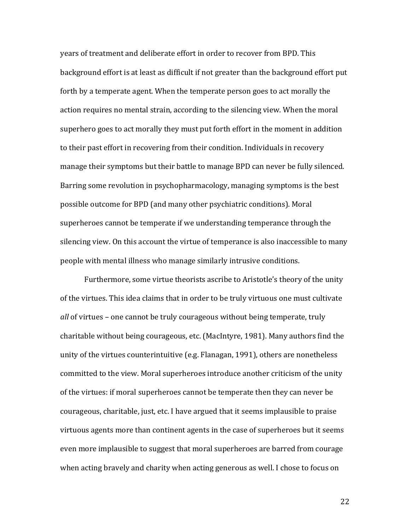years of treatment and deliberate effort in order to recover from BPD. This background effort is at least as difficult if not greater than the background effort put forth by a temperate agent. When the temperate person goes to act morally the action requires no mental strain, according to the silencing view. When the moral superhero goes to act morally they must put forth effort in the moment in addition to their past effort in recovering from their condition. Individuals in recovery manage their symptoms but their battle to manage BPD can never be fully silenced. Barring some revolution in psychopharmacology, managing symptoms is the best possible outcome for BPD (and many other psychiatric conditions). Moral superheroes cannot be temperate if we understanding temperance through the silencing view. On this account the virtue of temperance is also inaccessible to many people with mental illness who manage similarly intrusive conditions.

Furthermore, some virtue theorists ascribe to Aristotle's theory of the unity of the virtues. This idea claims that in order to be truly virtuous one must cultivate *all* of virtues – one cannot be truly courageous without being temperate, truly charitable without being courageous, etc. (MacIntyre, 1981). Many authors find the unity of the virtues counterintuitive (e.g. Flanagan, 1991), others are nonetheless committed to the view. Moral superheroes introduce another criticism of the unity of the virtues: if moral superheroes cannot be temperate then they can never be courageous, charitable, just, etc. I have argued that it seems implausible to praise virtuous agents more than continent agents in the case of superheroes but it seems even more implausible to suggest that moral superheroes are barred from courage when acting bravely and charity when acting generous as well. I chose to focus on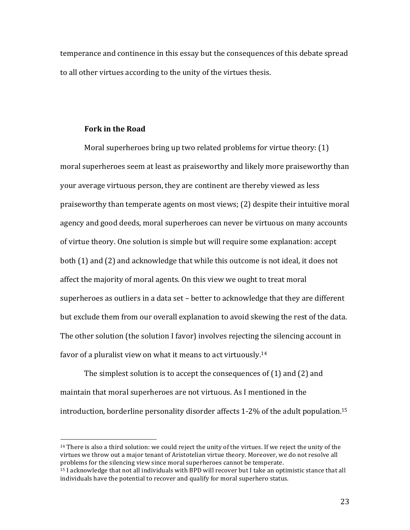temperance and continence in this essay but the consequences of this debate spread to all other virtues according to the unity of the virtues thesis.

### **Fork)in)the)Road**

!!!!!!!!!!!!!!!!!!!!!!!!!!!!!!!!!!!!!!!!!!!!!!!!!!!!!!!

Moral superheroes bring up two related problems for virtue theory: (1) moral superheroes seem at least as praiseworthy and likely more praiseworthy than your average virtuous person, they are continent are thereby viewed as less praiseworthy than temperate agents on most views; (2) despite their intuitive moral agency and good deeds, moral superheroes can never be virtuous on many accounts of virtue theory. One solution is simple but will require some explanation: accept both (1) and (2) and acknowledge that while this outcome is not ideal, it does not affect the majority of moral agents. On this view we ought to treat moral superheroes as outliers in a data set – better to acknowledge that they are different but exclude them from our overall explanation to avoid skewing the rest of the data. The other solution (the solution I favor) involves rejecting the silencing account in favor of a pluralist view on what it means to act virtuously.<sup>14</sup>

The simplest solution is to accept the consequences of  $(1)$  and  $(2)$  and maintain that moral superheroes are not virtuous. As I mentioned in the introduction, borderline personality disorder affects  $1$ -2% of the adult population.<sup>15</sup>

 $14$  There is also a third solution: we could reject the unity of the virtues. If we reject the unity of the virtues we throw out a major tenant of Aristotelian virtue theory. Moreover, we do not resolve all problems for the silencing view since moral superheroes cannot be temperate.

<sup>&</sup>lt;sup>15</sup> I acknowledge that not all individuals with BPD will recover but I take an optimistic stance that all individuals have the potential to recover and qualify for moral superhero status.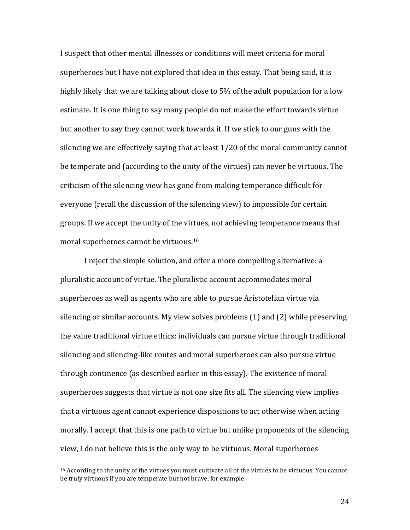I suspect that other mental illnesses or conditions will meet criteria for moral superheroes but I have not explored that idea in this essay. That being said, it is highly likely that we are talking about close to 5% of the adult population for a low estimate. It is one thing to say many people do not make the effort towards virtue but another to say they cannot work towards it. If we stick to our guns with the silencing we are effectively saying that at least  $1/20$  of the moral community cannot be temperate and (according to the unity of the virtues) can never be virtuous. The criticism of the silencing view has gone from making temperance difficult for everyone (recall the discussion of the silencing view) to impossible for certain groups. If we accept the unity of the virtues, not achieving temperance means that moral superheroes cannot be virtuous.<sup>16</sup>

I reject the simple solution, and offer a more compelling alternative: a pluralistic account of virtue. The pluralistic account accommodates moral superheroes as well as agents who are able to pursue Aristotelian virtue via silencing or similar accounts. My view solves problems  $(1)$  and  $(2)$  while preserving the value traditional virtue ethics: individuals can pursue virtue through traditional silencing and silencing-like routes and moral superheroes can also pursue virtue through continence (as described earlier in this essay). The existence of moral superheroes suggests that virtue is not one size fits all. The silencing view implies that a virtuous agent cannot experience dispositions to act otherwise when acting morally. I accept that this is one path to virtue but unlike proponents of the silencing view, I do not believe this is the only way to be virtuous. Moral superheroes

!!!!!!!!!!!!!!!!!!!!!!!!!!!!!!!!!!!!!!!!!!!!!!!!!!!!!!!

 $16$  According to the unity of the virtues you must cultivate all of the virtues to be virtuous. You cannot be truly virtuous if you are temperate but not brave, for example.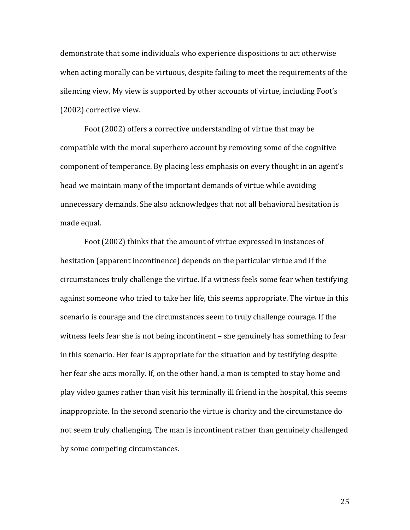demonstrate that some individuals who experience dispositions to act otherwise when acting morally can be virtuous, despite failing to meet the requirements of the silencing view. My view is supported by other accounts of virtue, including Foot's  $(2002)$  corrective view.

Foot (2002) offers a corrective understanding of virtue that may be compatible with the moral superhero account by removing some of the cognitive component of temperance. By placing less emphasis on every thought in an agent's head we maintain many of the important demands of virtue while avoiding unnecessary demands. She also acknowledges that not all behavioral hesitation is made equal.

Foot (2002) thinks that the amount of virtue expressed in instances of hesitation (apparent incontinence) depends on the particular virtue and if the circumstances truly challenge the virtue. If a witness feels some fear when testifying against someone who tried to take her life, this seems appropriate. The virtue in this scenario is courage and the circumstances seem to truly challenge courage. If the witness feels fear she is not being incontinent – she genuinely has something to fear in this scenario. Her fear is appropriate for the situation and by testifying despite her fear she acts morally. If, on the other hand, a man is tempted to stay home and play video games rather than visit his terminally ill friend in the hospital, this seems inappropriate. In the second scenario the virtue is charity and the circumstance do not seem truly challenging. The man is incontinent rather than genuinely challenged by some competing circumstances.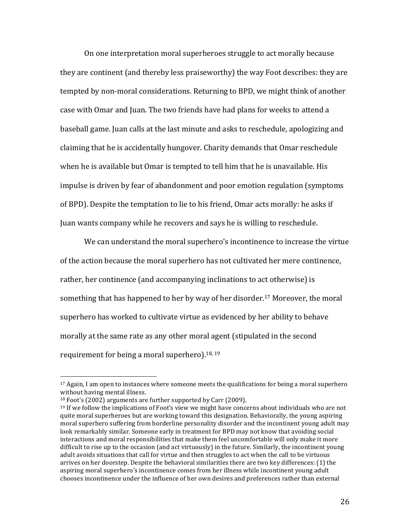On one interpretation moral superheroes struggle to act morally because they are continent (and thereby less praiseworthy) the way Foot describes: they are tempted by non-moral considerations. Returning to BPD, we might think of another case with Omar and Juan. The two friends have had plans for weeks to attend a baseball game. Juan calls at the last minute and asks to reschedule, apologizing and claiming that he is accidentally hungover. Charity demands that Omar reschedule when he is available but Omar is tempted to tell him that he is unavailable. His impulse is driven by fear of abandonment and poor emotion regulation (symptoms) of BPD). Despite the temptation to lie to his friend, Omar acts morally: he asks if Juan wants company while he recovers and says he is willing to reschedule.

We can understand the moral superhero's incontinence to increase the virtue of the action because the moral superhero has not cultivated her mere continence, rather, her continence (and accompanying inclinations to act otherwise) is something that has happened to her by way of her disorder.<sup>17</sup> Moreover, the moral superhero has worked to cultivate virtue as evidenced by her ability to behave morally at the same rate as any other moral agent (stipulated in the second requirement for being a moral superhero).<sup>18, 19</sup>

 $17$  Again, I am open to instances where someone meets the qualifications for being a moral superhero without having mental illness.

 $18$  Foot's (2002) arguments are further supported by Carr (2009).

 $19$  If we follow the implications of Foot's view we might have concerns about individuals who are not quite moral superheroes but are working toward this designation. Behaviorally, the young aspiring moral superhero suffering from borderline personality disorder and the incontinent young adult may look remarkably similar. Someone early in treatment for BPD may not know that avoiding social interactions and moral responsibilities that make them feel uncomfortable will only make it more difficult to rise up to the occasion (and act virtuously) in the future. Similarly, the incontinent voung adult avoids situations that call for virtue and then struggles to act when the call to be virtuous arrives on her doorstep. Despite the behavioral similarities there are two key differences: (1) the aspiring moral superhero's incontinence comes from her illness while incontinent young adult chooses incontinence under the influence of her own desires and preferences rather than external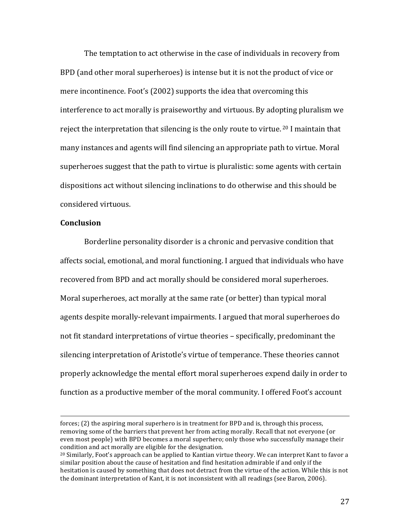The temptation to act otherwise in the case of individuals in recovery from BPD (and other moral superheroes) is intense but it is not the product of vice or mere incontinence. Foot's (2002) supports the idea that overcoming this interference to act morally is praiseworthy and virtuous. By adopting pluralism we reject the interpretation that silencing is the only route to virtue.  $20$  I maintain that many instances and agents will find silencing an appropriate path to virtue. Moral superheroes suggest that the path to virtue is pluralistic: some agents with certain dispositions act without silencing inclinations to do otherwise and this should be considered virtuous.

#### **Conclusion**

Borderline personality disorder is a chronic and pervasive condition that affects social, emotional, and moral functioning. I argued that individuals who have recovered from BPD and act morally should be considered moral superheroes. Moral superheroes, act morally at the same rate (or better) than typical moral agents despite morally-relevant impairments. I argued that moral superheroes do not fit standard interpretations of virtue theories – specifically, predominant the silencing interpretation of Aristotle's virtue of temperance. These theories cannot properly acknowledge the mental effort moral superheroes expend daily in order to function as a productive member of the moral community. I offered Foot's account

!!!!!!!!!!!!!!!!!!!!!!!!!!!!!!!!!!!!!!!!!!!!!!!!!!!!!!!!!!!!!!!!!!!!!!!!!!!!!!!!!!!!!!!!!!!!!!!!!!!!!!!!!!!!!!!!!!!!!!!!!!!!!!!!!!!!!!!!!!!!!!!!!!!!!!!!!!!!!!!!!!!!

forces; (2) the aspiring moral superhero is in treatment for BPD and is, through this process, removing some of the barriers that prevent her from acting morally. Recall that not everyone (or even most people) with BPD becomes a moral superhero; only those who successfully manage their condition and act morally are eligible for the designation.

 $^{20}$  Similarly, Foot's approach can be applied to Kantian virtue theory. We can interpret Kant to favor a similar position about the cause of hesitation and find hesitation admirable if and only if the hesitation is caused by something that does not detract from the virtue of the action. While this is not the dominant interpretation of Kant, it is not inconsistent with all readings (see Baron, 2006).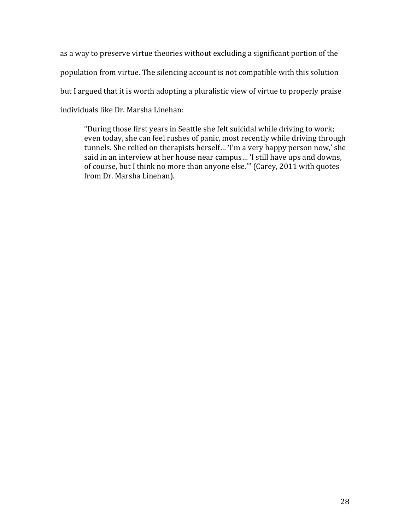as a way to preserve virtue theories without excluding a significant portion of the population from virtue. The silencing account is not compatible with this solution but I argued that it is worth adopting a pluralistic view of virtue to properly praise individuals like Dr. Marsha Linehan:

"During those first years in Seattle she felt suicidal while driving to work; even today, she can feel rushes of panic, most recently while driving through tunnels. She relied on therapists herself... 'I'm a very happy person now,' she said in an interview at her house near campus... 'I still have ups and downs, of course, but I think no more than anyone else."" (Carey, 2011 with quotes from Dr. Marsha Linehan).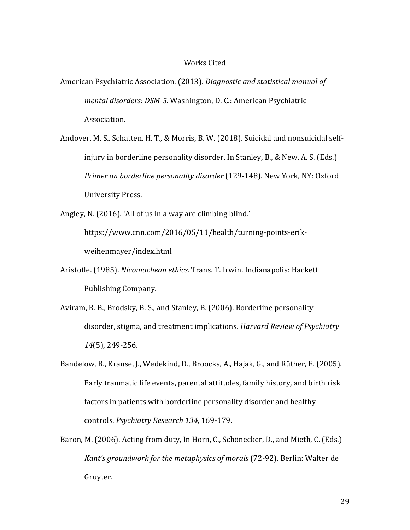#### Works Cited

- American Psychiatric Association. (2013). *Diagnostic and statistical manual of mental disorders: DSM-5.* Washington, D. C.: American Psychiatric Association.
- Andover, M. S., Schatten, H. T., & Morris, B. W. (2018). Suicidal and nonsuicidal selfinjury in borderline personality disorder, In Stanley, B., & New, A. S. (Eds.) *Primer on borderline personality disorder* (129-148). New York, NY: Oxford University Press.

Angley, N. (2016). 'All of us in a way are climbing blind.'

https://www.cnn.com/2016/05/11/health/turning-points-erikweihenmayer/index.html

- Aristotle. (1985). *Nicomachean ethics*. Trans. T. Irwin. Indianapolis: Hackett Publishing Company.
- Aviram, R. B., Brodsky, B. S., and Stanley, B. (2006). Borderline personality disorder, stigma, and treatment implications. *Harvard Review of Psychiatry 14*(5), 249-256.
- Bandelow, B., Krause, J., Wedekind, D., Broocks, A., Hajak, G., and Rüther, E. (2005). Early traumatic life events, parental attitudes, family history, and birth risk factors in patients with borderline personality disorder and healthy controls. *Psychiatry Research 134, 169-179.*
- Baron, M. (2006). Acting from duty, In Horn, C., Schönecker, D., and Mieth, C. (Eds.) *Kant's groundwork for the metaphysics of morals (72-92). Berlin: Walter de* Gruyter.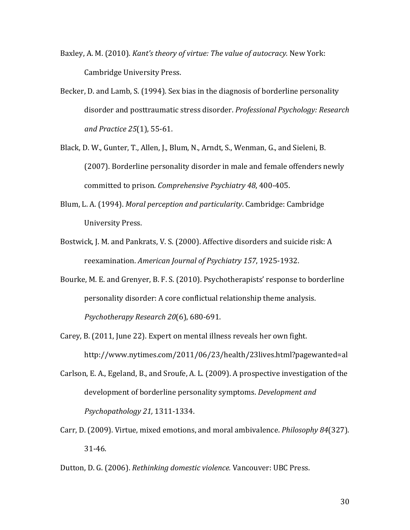- Baxley, A. M. (2010). *Kant's theory of virtue: The value of autocracy.* New York: Cambridge University Press.
- Becker, D. and Lamb, S. (1994). Sex bias in the diagnosis of borderline personality disorder and posttraumatic stress disorder. *Professional Psychology: Research* and Practice 25(1), 55-61.
- Black, D. W., Gunter, T., Allen, J., Blum, N., Arndt, S., Wenman, G., and Sieleni, B. (2007). Borderline personality disorder in male and female offenders newly committed to prison. *Comprehensive Psychiatry 48*, 400-405.
- Blum, L. A. (1994). *Moral perception and particularity*. Cambridge: Cambridge **University Press.**
- Bostwick, J. M. and Pankrats, V. S. (2000). Affective disorders and suicide risk: A reexamination. American Journal of Psychiatry 157, 1925-1932.
- Bourke, M. E. and Grenyer, B. F. S. (2010). Psychotherapists' response to borderline personality disorder: A core conflictual relationship theme analysis. *Psychotherapy Research 20*(6), 680-691.
- Carey, B. (2011, June 22). Expert on mental illness reveals her own fight. http://www.nytimes.com/2011/06/23/health/23lives.html?pagewanted=al
- Carlson, E. A., Egeland, B., and Sroufe, A. L. (2009). A prospective investigation of the development of borderline personality symptoms. *Development and Psychopathology 21, 1311-1334.*
- Carr, D. (2009). Virtue, mixed emotions, and moral ambivalence. *Philosophy 84*(327).  $31 - 46.$
- Dutton, D. G. (2006). *Rethinking domestic violence.* Vancouver: UBC Press.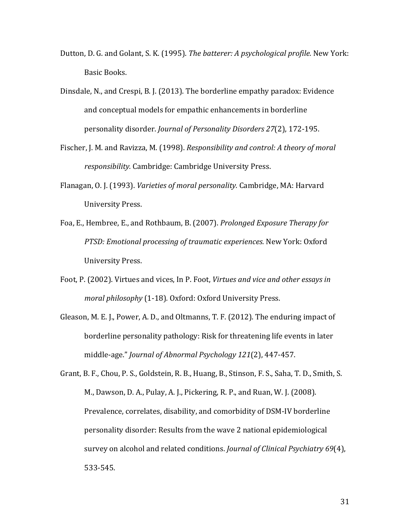- Dutton, D. G. and Golant, S. K. (1995). *The batterer: A psychological profile.* New York: Basic Books.
- Dinsdale, N., and Crespi, B. J. (2013). The borderline empathy paradox: Evidence and conceptual models for empathic enhancements in borderline personality disorder. *Journal of Personality Disorders 27*(2), 172-195.
- Fischer, J. M. and Ravizza, M. (1998). *Responsibility and control: A theory of moral responsibility.* Cambridge: Cambridge University Press.
- Flanagan, O. J. (1993). *Varieties of moral personality.* Cambridge, MA: Harvard **University Press.**
- Foa, E., Hembree, E., and Rothbaum, B. (2007). *Prolonged Exposure Therapy for PTSD: Emotional processing of traumatic experiences. New York: Oxford* University Press.
- Foot, P. (2002). Virtues and vices, In P. Foot, *Virtues and vice and other essays in moral philosophy* (1-18). Oxford: Oxford University Press.
- Gleason, M. E. J., Power, A. D., and Oltmanns, T. F. (2012). The enduring impact of borderline personality pathology: Risk for threatening life events in later middle-age." *Journal of Abnormal Psychology 121(2)*, 447-457.
- Grant, B. F., Chou, P. S., Goldstein, R. B., Huang, B., Stinson, F. S., Saha, T. D., Smith, S. M., Dawson, D. A., Pulay, A. J., Pickering, R. P., and Ruan, W. J. (2008). Prevalence, correlates, disability, and comorbidity of DSM-IV borderline personality disorder: Results from the wave 2 national epidemiological survey on alcohol and related conditions. *Journal of Clinical Psychiatry 69*(4), 533-545.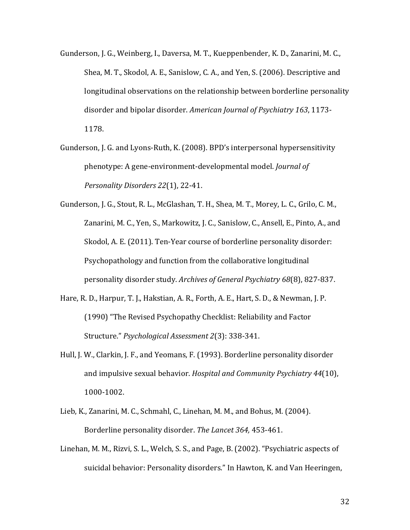- Gunderson, J. G., Weinberg, I., Daversa, M. T., Kueppenbender, K. D., Zanarini, M. C., Shea, M. T., Skodol, A. E., Sanislow, C. A., and Yen, S. (2006). Descriptive and longitudinal observations on the relationship between borderline personality disorder and bipolar disorder. American Journal of Psychiatry 163, 1173-1178.
- Gunderson, J. G. and Lyons-Ruth, K. (2008). BPD's interpersonal hypersensitivity phenotype: A gene-environment-developmental model. *Journal of Personality Disorders 22(1), 22-41.*
- Gunderson, J. G., Stout, R. L., McGlashan, T. H., Shea, M. T., Morey, L. C., Grilo, C. M., Zanarini, M. C., Yen, S., Markowitz, J. C., Sanislow, C., Ansell, E., Pinto, A., and Skodol, A. E. (2011). Ten-Year course of borderline personality disorder: Psychopathology and function from the collaborative longitudinal personality disorder study. Archives of General Psychiatry 68(8), 827-837.
- Hare, R. D., Harpur, T. J., Hakstian, A. R., Forth, A. E., Hart, S. D., & Newman, J. P. (1990) "The Revised Psychopathy Checklist: Reliability and Factor Structure." *Psychological Assessment 2*(3): 338-341.
- Hull, J. W., Clarkin, J. F., and Yeomans, F. (1993). Borderline personality disorder and impulsive sexual behavior. *Hospital and Community Psychiatry 44*(10), 1000-1002.
- Lieb, K., Zanarini, M. C., Schmahl, C., Linehan, M. M., and Bohus, M. (2004). Borderline personality disorder. The Lancet 364, 453-461.
- Linehan, M. M., Rizvi, S. L., Welch, S. S., and Page, B. (2002). "Psychiatric aspects of suicidal behavior: Personality disorders." In Hawton, K. and Van Heeringen,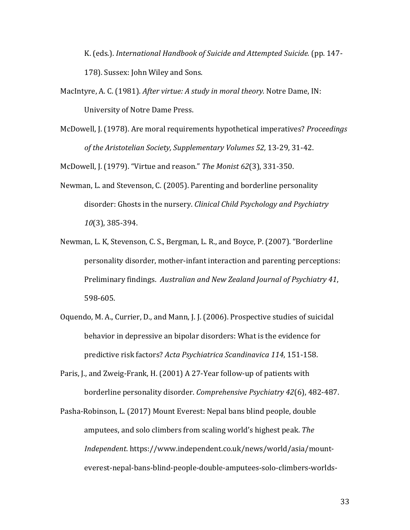K. (eds.). *International Handbook of Suicide and Attempted Suicide.* (pp. 147-178). Sussex: John Wiley and Sons.

- MacIntyre, A. C. (1981). *After virtue: A study in moral theory.* Notre Dame, IN: University of Notre Dame Press.
- McDowell, J. (1978). Are moral requirements hypothetical imperatives? *Proceedings* of the Aristotelian Society, Supplementary Volumes 52, 13-29, 31-42.

McDowell, J. (1979). "Virtue and reason." The Monist 62(3), 331-350.

- Newman, L. and Stevenson, C. (2005). Parenting and borderline personality disorder: Ghosts in the nursery. *Clinical Child Psychology and Psychiatry 10*(3), 385-394.
- Newman, L. K, Stevenson, C. S., Bergman, L. R., and Boyce, P. (2007). "Borderline personality disorder, mother-infant interaction and parenting perceptions: Preliminary findings. Australian and New Zealand Journal of Psychiatry 41, 598-605.
- Oquendo, M. A., Currier, D., and Mann, J. J. (2006). Prospective studies of suicidal behavior in depressive an bipolar disorders: What is the evidence for predictive risk factors? *Acta Psychiatrica Scandinavica 114*, 151-158.
- Paris, J., and Zweig-Frank, H. (2001) A 27-Year follow-up of patients with borderline personality disorder. *Comprehensive Psychiatry 42*(6), 482-487.
- Pasha-Robinson, L. (2017) Mount Everest: Nepal bans blind people, double amputees, and solo climbers from scaling world's highest peak. The *Independent.* https://www.independent.co.uk/news/world/asia/mounteverest-nepal-bans-blind-people-double-amputees-solo-climbers-worlds-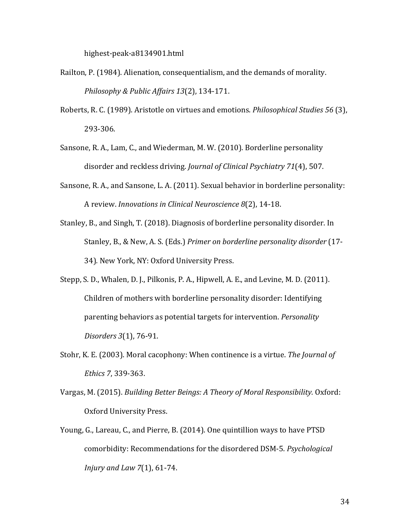highest-peak-a8134901.html

- Railton, P. (1984). Alienation, consequentialism, and the demands of morality. *Philosophy & Public Affairs 13(2), 134-171.*
- Roberts, R. C. (1989). Aristotle on virtues and emotions. *Philosophical Studies 56(3)*, 293-306.
- Sansone, R. A., Lam, C., and Wiederman, M. W. (2010). Borderline personality disorder and reckless driving. *Journal of Clinical Psychiatry 71*(4), 507.
- Sansone, R. A., and Sansone, L. A. (2011). Sexual behavior in borderline personality: A review. *Innovations in Clinical Neuroscience 8*(2), 14-18.
- Stanley, B., and Singh, T. (2018). Diagnosis of borderline personality disorder. In Stanley, B., & New, A. S. (Eds.) *Primer on borderline personality disorder* (17-34). New York, NY: Oxford University Press.
- Stepp, S. D., Whalen, D. J., Pilkonis, P. A., Hipwell, A. E., and Levine, M. D. (2011). Children of mothers with borderline personality disorder: Identifying parenting behaviors as potential targets for intervention. *Personality Disorders* 3(1), 76-91.
- Stohr, K. E. (2003). Moral cacophony: When continence is a virtue. *The Journal of Ethics* 7, 339-363.
- Vargas, M. (2015). *Building Better Beings: A Theory of Moral Responsibility.* Oxford: Oxford University Press.
- Young, G., Lareau, C., and Pierre, B. (2014). One quintillion ways to have PTSD comorbidity: Recommendations for the disordered DSM-5. *Psychological Injury and Law 7(1), 61-74.*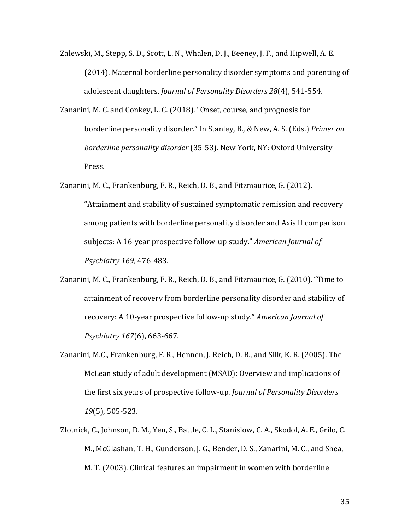- Zalewski, M., Stepp, S. D., Scott, L. N., Whalen, D. J., Beeney, J. F., and Hipwell, A. E. (2014). Maternal borderline personality disorder symptoms and parenting of adolescent daughters. *Journal of Personality Disorders 28*(4), 541-554.
- Zanarini, M. C. and Conkey, L. C. (2018). "Onset, course, and prognosis for borderline personality disorder." In Stanley, B., & New, A. S. (Eds.) *Primer on borderline personality disorder* (35-53). New York, NY: Oxford University Press.
- Zanarini, M. C., Frankenburg, F. R., Reich, D. B., and Fitzmaurice, G. (2012). "Attainment and stability of sustained symptomatic remission and recovery among patients with borderline personality disorder and Axis II comparison subjects: A 16-year prospective follow-up study." *American Journal of Psychiatry* 169, 476-483.
- Zanarini, M. C., Frankenburg, F. R., Reich, D. B., and Fitzmaurice, G. (2010). "Time to attainment of recovery from borderline personality disorder and stability of recovery: A 10-year prospective follow-up study." *American Journal of Psychiatry* 167(6), 663-667.
- Zanarini, M.C., Frankenburg, F. R., Hennen, J. Reich, D. B., and Silk, K. R. (2005). The McLean study of adult development (MSAD): Overview and implications of the first six years of prospective follow-up. *Journal of Personality Disorders 19*(5), 505-523.
- Zlotnick, C., Johnson, D. M., Yen, S., Battle, C. L., Stanislow, C. A., Skodol, A. E., Grilo, C. M., McGlashan, T. H., Gunderson, J. G., Bender, D. S., Zanarini, M. C., and Shea, M. T. (2003). Clinical features an impairment in women with borderline